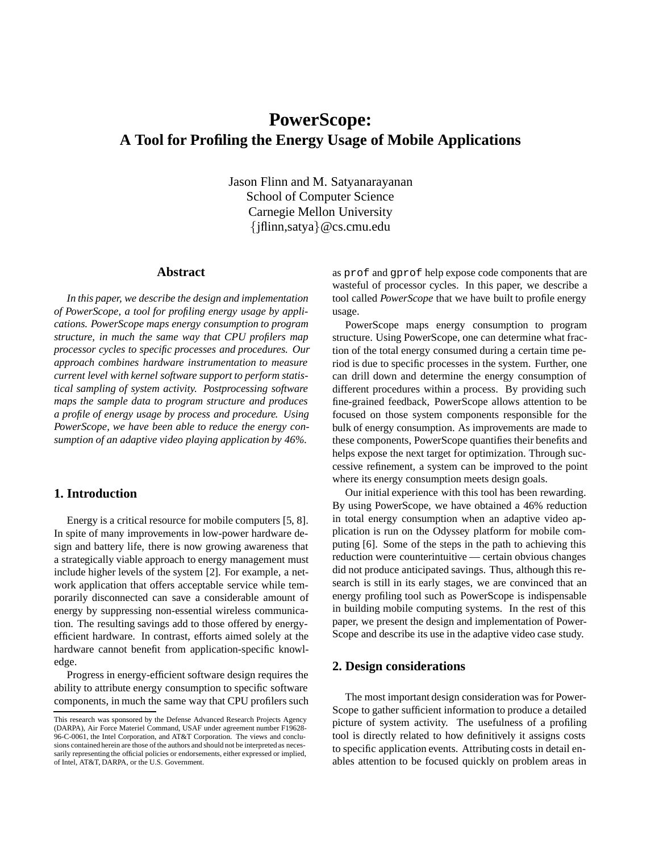# **PowerScope: A Tool for Profiling the Energy Usage of Mobile Applications**

Jason Flinn and M. Satyanarayanan School of Computer Science Carnegie Mellon University  $\{\text{iflinn,satya}\}$ @cs.cmu.edu

# **Abstract**

*In this paper, we describe the design and implementation of PowerScope, a tool for profiling energy usage by applications. PowerScope maps energy consumption to program structure, in much the same way that CPU profilers map processor cycles to specific processes and procedures. Our approach combines hardware instrumentation to measure current level with kernel software support to perform statistical sampling of system activity. Postprocessing software maps the sample data to program structure and produces a profile of energy usage by process and procedure. Using PowerScope, we have been able to reduce the energy consumption of an adaptive video playing application by 46%.*

# **1. Introduction**

Energy is a critical resource for mobile computers [5, 8]. In spite of many improvements in low-power hardware design and battery life, there is now growing awareness that a strategically viable approach to energy management must include higher levels of the system [2]. For example, a network application that offers acceptable service while temporarily disconnected can save a considerable amount of energy by suppressing non-essential wireless communication. The resulting savings add to those offered by energyefficient hardware. In contrast, efforts aimed solely at the hardware cannot benefit from application-specific knowledge.

Progress in energy-efficient software design requires the ability to attribute energy consumption to specific software components, in much the same way that CPU profilers such as prof and gprof help expose code components that are wasteful of processor cycles. In this paper, we describe a tool called *PowerScope* that we have built to profile energy usage.

PowerScope maps energy consumption to program structure. Using PowerScope, one can determine what fraction of the total energy consumed during a certain time period is due to specific processes in the system. Further, one can drill down and determine the energy consumption of different procedures within a process. By providing such fine-grained feedback, PowerScope allows attention to be focused on those system components responsible for the bulk of energy consumption. As improvements are made to these components, PowerScope quantifies their benefits and helps expose the next target for optimization. Through successive refinement, a system can be improved to the point where its energy consumption meets design goals.

Our initial experience with this tool has been rewarding. By using PowerScope, we have obtained a 46% reduction in total energy consumption when an adaptive video application is run on the Odyssey platform for mobile computing [6]. Some of the steps in the path to achieving this reduction were counterintuitive — certain obvious changes did not produce anticipated savings. Thus, although this research is still in its early stages, we are convinced that an energy profiling tool such as PowerScope is indispensable in building mobile computing systems. In the rest of this paper, we present the design and implementation of Power-Scope and describe its use in the adaptive video case study.

# **2. Design considerations**

The most important design consideration was for Power-Scope to gather sufficient information to produce a detailed picture of system activity. The usefulness of a profiling tool is directly related to how definitively it assigns costs to specific application events. Attributing costs in detail enables attention to be focused quickly on problem areas in

This research was sponsored by the Defense Advanced Research Projects Agency (DARPA), Air Force Materiel Command, USAF under agreement number F19628- 96-C-0061, the Intel Corporation, and AT&T Corporation. The views and conclusions contained herein are those of the authors and should not be interpreted as necessarily representing the official policies or endorsements, either expressed or implied, of Intel, AT&T, DARPA, or the U.S. Government.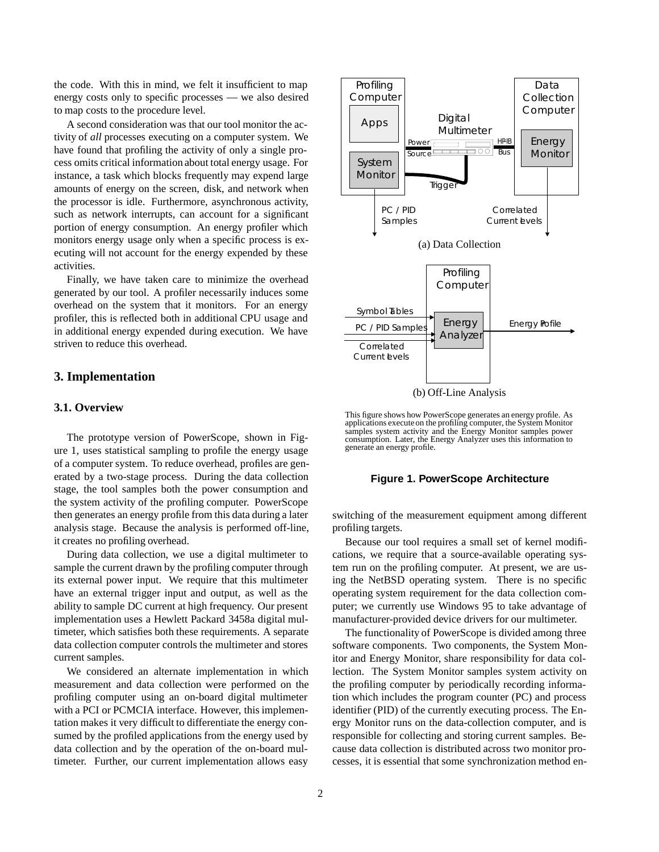the code. With this in mind, we felt it insufficient to map energy costs only to specific processes — we also desired to map costs to the procedure level.

A second consideration was that our tool monitor the activity of *all* processes executing on a computer system. We have found that profiling the activity of only a single process omits critical information about total energy usage. For instance, a task which blocks frequently may expend large amounts of energy on the screen, disk, and network when the processor is idle. Furthermore, asynchronous activity, such as network interrupts, can account for a significant portion of energy consumption. An energy profiler which monitors energy usage only when a specific process is executing will not account for the energy expended by these activities.

Finally, we have taken care to minimize the overhead generated by our tool. A profiler necessarily induces some overhead on the system that it monitors. For an energy profiler, this is reflected both in additional CPU usage and in additional energy expended during execution. We have striven to reduce this overhead.

# **3. Implementation**

# **3.1. Overview**

The prototype version of PowerScope, shown in Figure 1, uses statistical sampling to profile the energy usage of a computer system. To reduce overhead, profiles are generated by a two-stage process. During the data collection stage, the tool samples both the power consumption and the system activity of the profiling computer. PowerScope then generates an energy profile from this data during a later analysis stage. Because the analysis is performed off-line, it creates no profiling overhead.

During data collection, we use a digital multimeter to sample the current drawn by the profiling computer through its external power input. We require that this multimeter have an external trigger input and output, as well as the ability to sample DC current at high frequency. Our present implementation uses a Hewlett Packard 3458a digital multimeter, which satisfies both these requirements. A separate data collection computer controls the multimeter and stores current samples.

We considered an alternate implementation in which measurement and data collection were performed on the profiling computer using an on-board digital multimeter with a PCI or PCMCIA interface. However, this implementation makes it very difficult to differentiate the energy consumed by the profiled applications from the energy used by data collection and by the operation of the on-board multimeter. Further, our current implementation allows easy



This figure shows how PowerScope generates an energy profile. As applications executeon the profiling computer, the System Monitor samples system activity and the Energy Monitor samples power consumption. Later, the Energy Analyzer uses this information to generate an energy profile.

#### **Figure 1. PowerScope Architecture**

switching of the measurement equipment among different profiling targets.

Because our tool requires a small set of kernel modifications, we require that a source-available operating system run on the profiling computer. At present, we are using the NetBSD operating system. There is no specific operating system requirement for the data collection computer; we currently use Windows 95 to take advantage of manufacturer-provided device drivers for our multimeter.

The functionality of PowerScope is divided among three software components. Two components, the System Monitor and Energy Monitor, share responsibility for data collection. The System Monitor samples system activity on the profiling computer by periodically recording information which includes the program counter (PC) and process identifier (PID) of the currently executing process. The Energy Monitor runs on the data-collection computer, and is responsible for collecting and storing current samples. Because data collection is distributed across two monitor processes, it is essential that some synchronization method en-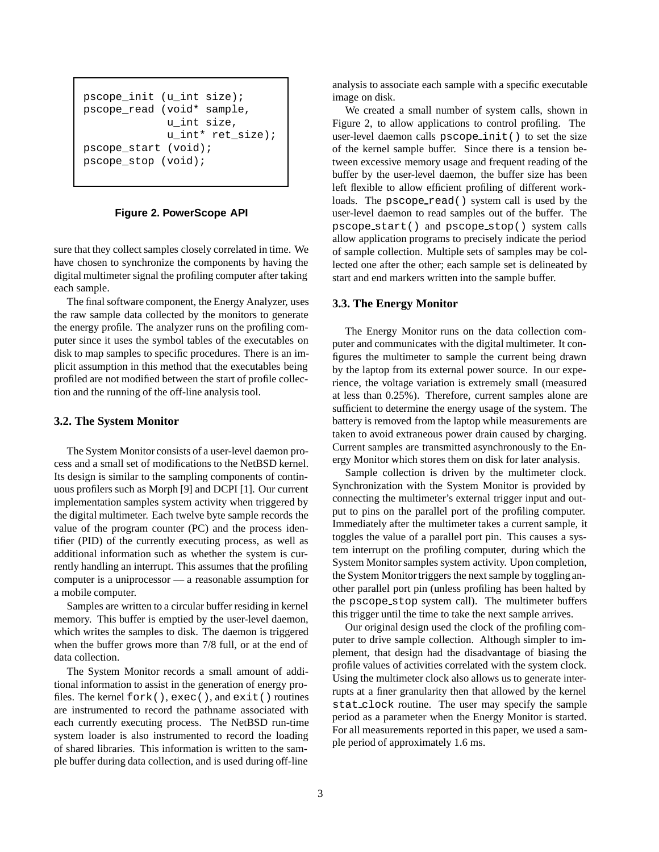```
pscope init (u int size);
pscope_read (void* sample,
             u_int size,
             u_int* ret_size);
pscope_start (void);
pscope_stop (void);
```
**Figure 2. PowerScope API**

sure that they collect samples closely correlated in time. We have chosen to synchronize the components by having the digital multimeter signal the profiling computer after taking each sample.

The final software component, the Energy Analyzer, uses the raw sample data collected by the monitors to generate the energy profile. The analyzer runs on the profiling computer since it uses the symbol tables of the executables on disk to map samples to specific procedures. There is an implicit assumption in this method that the executables being profiled are not modified between the start of profile collection and the running of the off-line analysis tool.

#### **3.2. The System Monitor**

The System Monitor consists of a user-level daemon process and a small set of modifications to the NetBSD kernel. Its design is similar to the sampling components of continuous profilers such as Morph [9] and DCPI [1]. Our current implementation samples system activity when triggered by the digital multimeter. Each twelve byte sample records the value of the program counter (PC) and the process identifier (PID) of the currently executing process, as well as additional information such as whether the system is currently handling an interrupt. This assumes that the profiling computer is a uniprocessor — a reasonable assumption for a mobile computer.

Samples are written to a circular buffer residing in kernel memory. This buffer is emptied by the user-level daemon, which writes the samples to disk. The daemon is triggered when the buffer grows more than 7/8 full, or at the end of data collection.

The System Monitor records a small amount of additional information to assist in the generation of energy profiles. The kernel fork(), exec(), and exit() routines are instrumented to record the pathname associated with each currently executing process. The NetBSD run-time system loader is also instrumented to record the loading of shared libraries. This information is written to the sample buffer during data collection, and is used during off-line

analysis to associate each sample with a specific executable image on disk.

We created a small number of system calls, shown in Figure 2, to allow applications to control profiling. The user-level daemon calls pscope init() to set the size of the kernel sample buffer. Since there is a tension between excessive memory usage and frequent reading of the buffer by the user-level daemon, the buffer size has been left flexible to allow efficient profiling of different workloads. The pscope\_read() system call is used by the user-level daemon to read samples out of the buffer. The pscope start() and pscope stop() system calls allow application programs to precisely indicate the period of sample collection. Multiple sets of samples may be collected one after the other; each sample set is delineated by start and end markers written into the sample buffer.

#### **3.3. The Energy Monitor**

The Energy Monitor runs on the data collection computer and communicates with the digital multimeter. It configures the multimeter to sample the current being drawn by the laptop from its external power source. In our experience, the voltage variation is extremely small (measured at less than 0.25%). Therefore, current samples alone are sufficient to determine the energy usage of the system. The battery is removed from the laptop while measurements are taken to avoid extraneous power drain caused by charging. Current samples are transmitted asynchronously to the Energy Monitor which stores them on disk for later analysis.

Sample collection is driven by the multimeter clock. Synchronization with the System Monitor is provided by connecting the multimeter's external trigger input and output to pins on the parallel port of the profiling computer. Immediately after the multimeter takes a current sample, it toggles the value of a parallel port pin. This causes a system interrupt on the profiling computer, during which the System Monitor samples system activity. Upon completion, the System Monitor triggers the next sample by toggling another parallel port pin (unless profiling has been halted by the pscope stop system call). The multimeter buffers this trigger until the time to take the next sample arrives.

Our original design used the clock of the profiling computer to drive sample collection. Although simpler to implement, that design had the disadvantage of biasing the profile values of activities correlated with the system clock. Using the multimeter clock also allows us to generate interrupts at a finer granularity then that allowed by the kernel stat clock routine. The user may specify the sample period as a parameter when the Energy Monitor is started. For all measurements reported in this paper, we used a sample period of approximately 1.6 ms.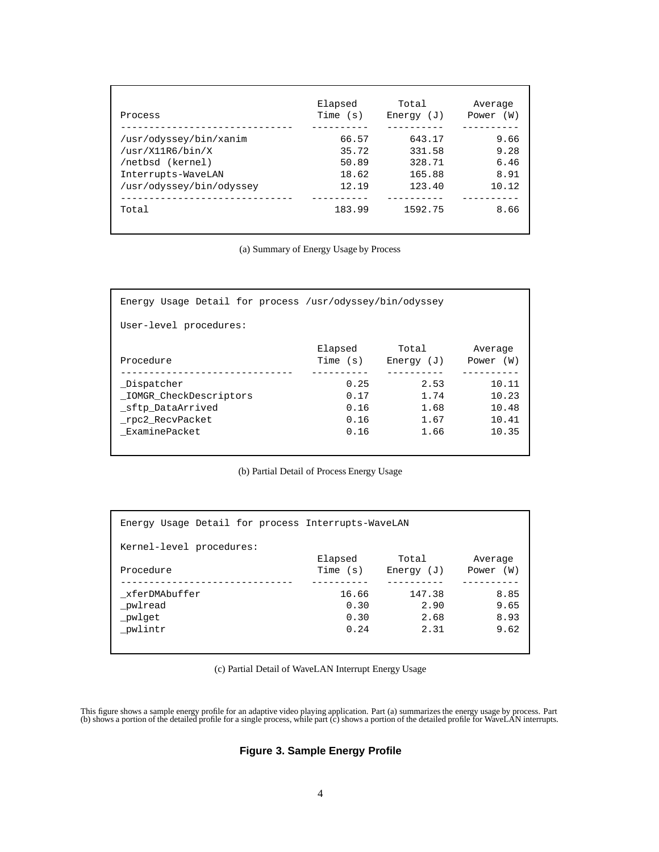| Process                                                                                                          | Elapsed<br>Time $(s)$                     | Total<br>Energy $(J)$                          | Average<br>(W)<br>Power               |
|------------------------------------------------------------------------------------------------------------------|-------------------------------------------|------------------------------------------------|---------------------------------------|
| /usr/odyssey/bin/xanim<br>/usr/X11R6/bin/X<br>/netbsd (kernel)<br>Interrupts-WaveLAN<br>/usr/odyssey/bin/odyssey | 66.57<br>35.72<br>50.89<br>18.62<br>12.19 | 643.17<br>331.58<br>328.71<br>165.88<br>123.40 | 9.66<br>9.28<br>6.46<br>8.91<br>10.12 |
| Total                                                                                                            | 183.99                                    | 1592.75                                        | 8.66                                  |

(a) Summary of Energy Usage by Process

| Energy Usage Detail for process /usr/odyssey/bin/odyssey |            |              |           |
|----------------------------------------------------------|------------|--------------|-----------|
| User-level procedures:                                   |            |              |           |
| Procedure                                                | Elapsed    | Total        | Average   |
|                                                          | Time $(s)$ | Energy $(J)$ | Power (W) |
| Dispatcher                                               | 0.25       | 2.53         | 10.11     |
| IOMGR CheckDescriptors                                   | 0.17       | 1.74         | 10.23     |
| sftp DataArrived                                         | 0.16       | 1.68         | 10.48     |
| rpc2 RecvPacket                                          | 0.16       | 1.67         | 10.41     |
| ExaminePacket                                            | 0.16       | 1.66         | 10.35     |

(b) Partial Detail of Process Energy Usage

|                          | Energy Usage Detail for process Interrupts-WaveLAN |              |           |
|--------------------------|----------------------------------------------------|--------------|-----------|
| Kernel-level procedures: |                                                    |              |           |
|                          | Elapsed                                            | Total        | Average   |
| Procedure                | Time $(s)$                                         | Energy $(J)$ | Power (W) |
|                          |                                                    |              |           |
| xferDMAbuffer            | 16.66                                              | 147.38       | 8.85      |
| pwlread                  | 0.30                                               | 2.90         | 9.65      |
| pwlget                   | 0.30                                               | 2.68         | 8.93      |
| pwlintr                  | 0.24                                               | 2.31         | 9.62      |
|                          |                                                    |              |           |
|                          |                                                    |              |           |

(c) Partial Detail of WaveLAN Interrupt Energy Usage

This figure shows a sample energy profile for an adaptive video playing application. Part (a) summarizes the energy usage by process. Part<br>(b) shows a portion of the detailed profile for a single process, while part (c) sh

# **Figure 3. Sample Energy Profile**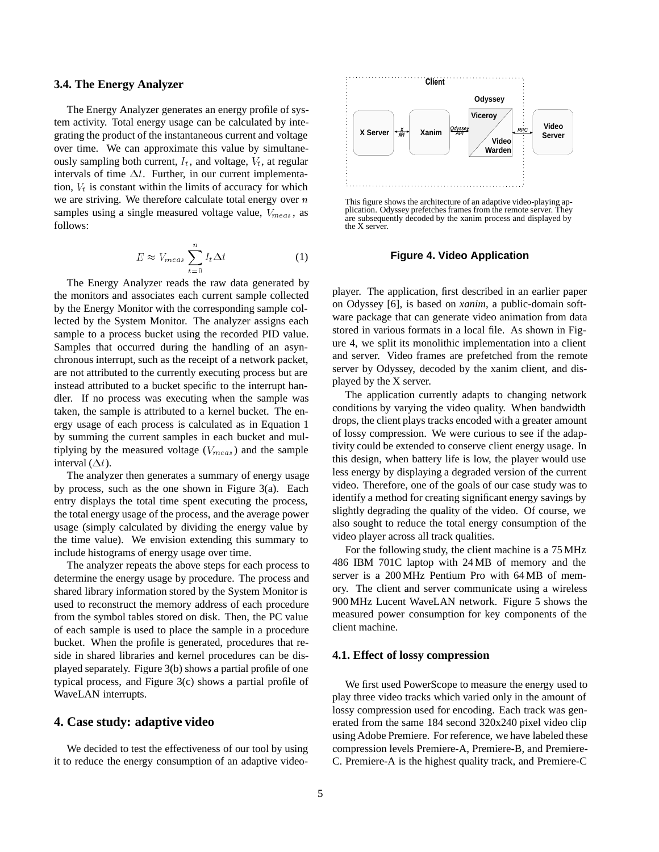#### **3.4. The Energy Analyzer**

The Energy Analyzer generates an energy profile of system activity. Total energy usage can be calculated by integrating the product of the instantaneous current and voltage over time. We can approximate this value by simultaneously sampling both current,  $I_t$ , and voltage,  $V_t$ , at regular intervals of time  $\Delta t$ . Further, in our current implementation,  $V_t$  is constant within the limits of accuracy for which we are striving. We therefore calculate total energy over  $n$ samples using a single measured voltage value,  $V_{meas}$ , as follows:

$$
E \approx V_{meas} \sum_{t=0}^{n} I_t \Delta t
$$
 (1)

The Energy Analyzer reads the raw data generated by the monitors and associates each current sample collected by the Energy Monitor with the corresponding sample collected by the System Monitor. The analyzer assigns each sample to a process bucket using the recorded PID value. Samples that occurred during the handling of an asynchronous interrupt, such as the receipt of a network packet, are not attributed to the currently executing process but are instead attributed to a bucket specific to the interrupt handler. If no process was executing when the sample was taken, the sample is attributed to a kernel bucket. The energy usage of each process is calculated as in Equation 1 by summing the current samples in each bucket and multiplying by the measured voltage  $(V_{meas})$  and the sample interval  $(\Delta t)$ .

The analyzer then generates a summary of energy usage by process, such as the one shown in Figure 3(a). Each entry displays the total time spent executing the process, the total energy usage of the process, and the average power usage (simply calculated by dividing the energy value by the time value). We envision extending this summary to include histograms of energy usage over time.

The analyzer repeats the above steps for each process to determine the energy usage by procedure. The process and shared library information stored by the System Monitor is used to reconstruct the memory address of each procedure from the symbol tables stored on disk. Then, the PC value of each sample is used to place the sample in a procedure bucket. When the profile is generated, procedures that reside in shared libraries and kernel procedures can be displayed separately. Figure 3(b) shows a partial profile of one typical process, and Figure 3(c) shows a partial profile of WaveLAN interrupts.

# **4. Case study: adaptive video**

We decided to test the effectiveness of our tool by using it to reduce the energy consumption of an adaptive video-



This figure shows the architecture of an adaptive video-playing application. Odyssey prefetches frames from the remote server. They are subsequently decoded by the xanim process and displayed by the X server.

#### **Figure 4. Video Application**

player. The application, first described in an earlier paper on Odyssey [6], is based on *xanim*, a public-domain software package that can generate video animation from data stored in various formats in a local file. As shown in Figure 4, we split its monolithic implementation into a client and server. Video frames are prefetched from the remote server by Odyssey, decoded by the xanim client, and displayed by the X server.

The application currently adapts to changing network conditions by varying the video quality. When bandwidth drops, the client plays tracks encoded with a greater amount of lossy compression. We were curious to see if the adaptivity could be extended to conserve client energy usage. In this design, when battery life is low, the player would use less energy by displaying a degraded version of the current video. Therefore, one of the goals of our case study was to identify a method for creating significant energy savings by slightly degrading the quality of the video. Of course, we also sought to reduce the total energy consumption of the video player across all track qualities.

For the following study, the client machine is a 75 MHz 486 IBM 701C laptop with 24 MB of memory and the server is a 200 MHz Pentium Pro with 64 MB of memory. The client and server communicate using a wireless 900 MHz Lucent WaveLAN network. Figure 5 shows the measured power consumption for key components of the client machine.

#### **4.1. Effect of lossy compression**

We first used PowerScope to measure the energy used to play three video tracks which varied only in the amount of lossy compression used for encoding. Each track was generated from the same 184 second 320x240 pixel video clip using Adobe Premiere. For reference, we have labeled these compression levels Premiere-A, Premiere-B, and Premiere-C. Premiere-A is the highest quality track, and Premiere-C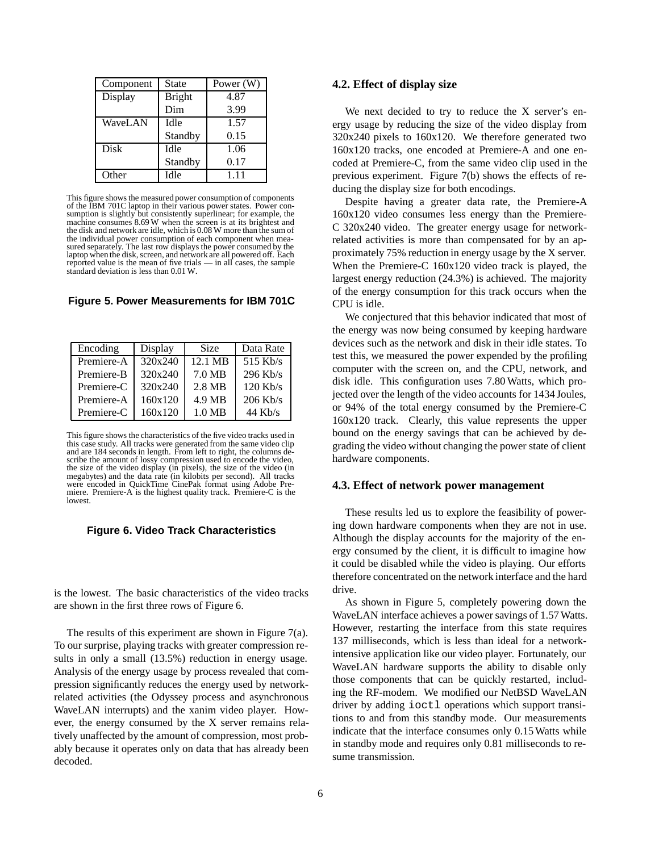| Component      | <b>State</b>  | Power $(W)$ |
|----------------|---------------|-------------|
| <b>Display</b> | <b>Bright</b> | 4.87        |
|                | Dim           | 3.99        |
| WaveLAN        | Idle          | 1.57        |
|                | Standby       | 0.15        |
| Disk           | Idle          | 1.06        |
|                | Standby       | 0.17        |
| Other          | Idle          | 1.11        |

This figure shows the measured power consumption of components of the IBM 701C laptop in their various power states. Power consumption is slightly but consistently superlinear; for example, the machine consumes 8.69 W when the screen is at its brightest and the disk and network are idle, which is 0.08 W more than the sum of the individual power consumption of each component when measured separately. The last row displays the power consumed by the laptop when the disk, screen, and network are all powered off. Each reported value is the mean of five trials — in all cases, the sample standard deviation is less than 0.01 W.

#### **Figure 5. Power Measurements for IBM 701C**

| Encoding   | Display | <b>Size</b>      | Data Rate  |
|------------|---------|------------------|------------|
| Premiere-A | 320x240 | 12.1 MB          | $515$ Kb/s |
| Premiere-B | 320x240 | 7.0 MB           | $296$ Kb/s |
| Premiere-C | 320x240 | $2.8$ MB         | $120$ Kb/s |
| Premiere-A | 160x120 | 4.9 MB           | $206$ Kb/s |
| Premiere-C | 160x120 | $1.0 \text{ MB}$ | 44 Kb/s    |

This figure shows the characteristics of the five video tracks used in this case study. All tracks were generated from the same video clip and are 184 seconds in length. From left to right, the columns describe the amount of lossy compression used to encode the video, the size of the video display (in pixels), the size of the video (in megabytes) and the data rate (in kilobits per second). All tracks were encoded in QuickTime CinePak format using Adobe Premiere. Premiere-A is the highest quality track. Premiere-C is the lowest.

### **Figure 6. Video Track Characteristics**

is the lowest. The basic characteristics of the video tracks are shown in the first three rows of Figure 6.

The results of this experiment are shown in Figure 7(a). To our surprise, playing tracks with greater compression results in only a small (13.5%) reduction in energy usage. Analysis of the energy usage by process revealed that compression significantly reduces the energy used by networkrelated activities (the Odyssey process and asynchronous WaveLAN interrupts) and the xanim video player. However, the energy consumed by the X server remains relatively unaffected by the amount of compression, most probably because it operates only on data that has already been decoded.

#### **4.2. Effect of display size**

We next decided to try to reduce the X server's energy usage by reducing the size of the video display from 320x240 pixels to 160x120. We therefore generated two 160x120 tracks, one encoded at Premiere-A and one encoded at Premiere-C, from the same video clip used in the previous experiment. Figure 7(b) shows the effects of reducing the display size for both encodings.

Despite having a greater data rate, the Premiere-A 160x120 video consumes less energy than the Premiere-C 320x240 video. The greater energy usage for networkrelated activities is more than compensated for by an approximately 75% reduction in energy usage by the X server. When the Premiere-C 160x120 video track is played, the largest energy reduction (24.3%) is achieved. The majority of the energy consumption for this track occurs when the CPU is idle.

We conjectured that this behavior indicated that most of the energy was now being consumed by keeping hardware devices such as the network and disk in their idle states. To test this, we measured the power expended by the profiling computer with the screen on, and the CPU, network, and disk idle. This configuration uses 7.80 Watts, which projected over the length of the video accounts for 1434 Joules, or 94% of the total energy consumed by the Premiere-C 160x120 track. Clearly, this value represents the upper bound on the energy savings that can be achieved by degrading the video without changing the power state of client hardware components.

#### **4.3. Effect of network power management**

These results led us to explore the feasibility of powering down hardware components when they are not in use. Although the display accounts for the majority of the energy consumed by the client, it is difficult to imagine how it could be disabled while the video is playing. Our efforts therefore concentrated on the network interface and the hard drive.

As shown in Figure 5, completely powering down the WaveLAN interface achieves a power savings of 1.57 Watts. However, restarting the interface from this state requires 137 milliseconds, which is less than ideal for a networkintensive application like our video player. Fortunately, our WaveLAN hardware supports the ability to disable only those components that can be quickly restarted, including the RF-modem. We modified our NetBSD WaveLAN driver by adding ioctl operations which support transitions to and from this standby mode. Our measurements indicate that the interface consumes only 0.15 Watts while in standby mode and requires only 0.81 milliseconds to resume transmission.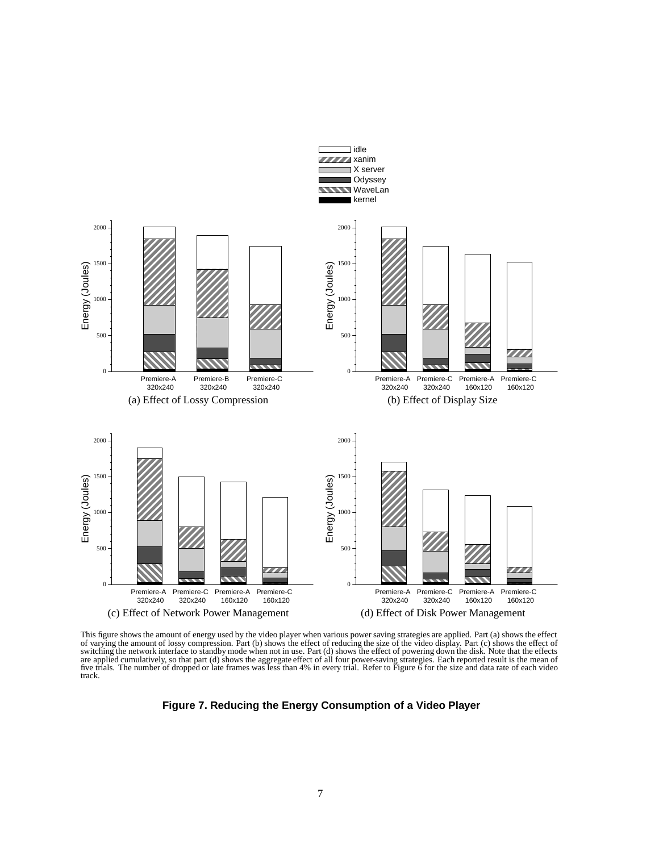

This figure shows the amount of energy used by the video player when various power saving strategies are applied. Part (a) shows the effect of varying the amount of lossy compression. Part (b) shows the effect of reducing the size of the video display. Part (c) shows the effect of switching the network interface to standby mode when not in use. Part (d) shows track.

**Figure 7. Reducing the Energy Consumption of a Video Player**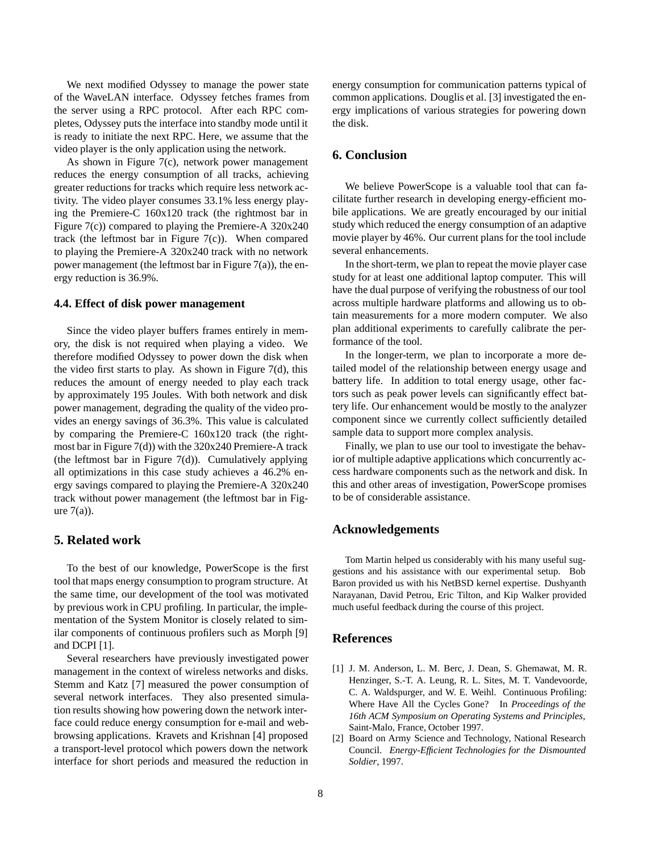We next modified Odyssey to manage the power state of the WaveLAN interface. Odyssey fetches frames from the server using a RPC protocol. After each RPC completes, Odyssey puts the interface into standby mode until it is ready to initiate the next RPC. Here, we assume that the video player is the only application using the network.

As shown in Figure 7(c), network power management reduces the energy consumption of all tracks, achieving greater reductions for tracks which require less network activity. The video player consumes 33.1% less energy playing the Premiere-C 160x120 track (the rightmost bar in Figure 7(c)) compared to playing the Premiere-A 320x240 track (the leftmost bar in Figure 7(c)). When compared to playing the Premiere-A 320x240 track with no network power management (the leftmost bar in Figure 7(a)), the energy reduction is 36.9%.

#### **4.4. Effect of disk power management**

Since the video player buffers frames entirely in memory, the disk is not required when playing a video. We therefore modified Odyssey to power down the disk when the video first starts to play. As shown in Figure  $7(d)$ , this reduces the amount of energy needed to play each track by approximately 195 Joules. With both network and disk power management, degrading the quality of the video provides an energy savings of 36.3%. This value is calculated by comparing the Premiere-C 160x120 track (the rightmost bar in Figure 7(d)) with the 320x240 Premiere-A track (the leftmost bar in Figure  $7(d)$ ). Cumulatively applying all optimizations in this case study achieves a 46.2% energy savings compared to playing the Premiere-A 320x240 track without power management (the leftmost bar in Figure  $7(a)$ ).

# **5. Related work**

To the best of our knowledge, PowerScope is the first tool that maps energy consumption to program structure. At the same time, our development of the tool was motivated by previous work in CPU profiling. In particular, the implementation of the System Monitor is closely related to similar components of continuous profilers such as Morph [9] and DCPI [1].

Several researchers have previously investigated power management in the context of wireless networks and disks. Stemm and Katz [7] measured the power consumption of several network interfaces. They also presented simulation results showing how powering down the network interface could reduce energy consumption for e-mail and webbrowsing applications. Kravets and Krishnan [4] proposed a transport-level protocol which powers down the network interface for short periods and measured the reduction in

energy consumption for communication patterns typical of common applications. Douglis et al. [3] investigated the energy implications of various strategies for powering down the disk.

# **6. Conclusion**

We believe PowerScope is a valuable tool that can facilitate further research in developing energy-efficient mobile applications. We are greatly encouraged by our initial study which reduced the energy consumption of an adaptive movie player by 46%. Our current plans for the tool include several enhancements.

In the short-term, we plan to repeat the movie player case study for at least one additional laptop computer. This will have the dual purpose of verifying the robustness of our tool across multiple hardware platforms and allowing us to obtain measurements for a more modern computer. We also plan additional experiments to carefully calibrate the performance of the tool.

In the longer-term, we plan to incorporate a more detailed model of the relationship between energy usage and battery life. In addition to total energy usage, other factors such as peak power levels can significantly effect battery life. Our enhancement would be mostly to the analyzer component since we currently collect sufficiently detailed sample data to support more complex analysis.

Finally, we plan to use our tool to investigate the behavior of multiple adaptive applications which concurrently access hardware components such as the network and disk. In this and other areas of investigation, PowerScope promises to be of considerable assistance.

# **Acknowledgements**

Tom Martin helped us considerably with his many useful suggestions and his assistance with our experimental setup. Bob Baron provided us with his NetBSD kernel expertise. Dushyanth Narayanan, David Petrou, Eric Tilton, and Kip Walker provided much useful feedback during the course of this project.

# **References**

- [1] J. M. Anderson, L. M. Berc, J. Dean, S. Ghemawat, M. R. Henzinger, S.-T. A. Leung, R. L. Sites, M. T. Vandevoorde, C. A. Waldspurger, and W. E. Weihl. Continuous Profiling: Where Have All the Cycles Gone? In *Proceedings of the 16th ACM Symposium on Operating Systems and Principles*, Saint-Malo, France, October 1997.
- [2] Board on Army Science and Technology, National Research Council. *Energy-Efficient Technologies for the Dismounted Soldier*, 1997.